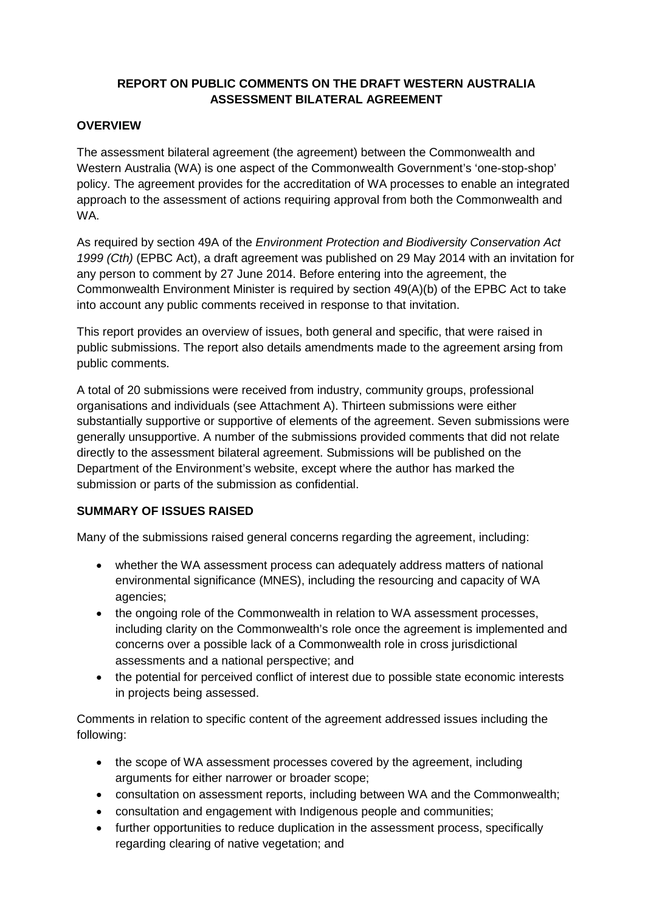# **REPORT ON PUBLIC COMMENTS ON THE DRAFT WESTERN AUSTRALIA ASSESSMENT BILATERAL AGREEMENT**

### **OVERVIEW**

The assessment bilateral agreement (the agreement) between the Commonwealth and Western Australia (WA) is one aspect of the Commonwealth Government's 'one-stop-shop' policy. The agreement provides for the accreditation of WA processes to enable an integrated approach to the assessment of actions requiring approval from both the Commonwealth and WA.

As required by section 49A of the *Environment Protection and Biodiversity Conservation Act 1999 (Cth)* (EPBC Act), a draft agreement was published on 29 May 2014 with an invitation for any person to comment by 27 June 2014. Before entering into the agreement, the Commonwealth Environment Minister is required by section 49(A)(b) of the EPBC Act to take into account any public comments received in response to that invitation.

This report provides an overview of issues, both general and specific, that were raised in public submissions. The report also details amendments made to the agreement arsing from public comments.

A total of 20 submissions were received from industry, community groups, professional organisations and individuals (see Attachment A). Thirteen submissions were either substantially supportive or supportive of elements of the agreement. Seven submissions were generally unsupportive. A number of the submissions provided comments that did not relate directly to the assessment bilateral agreement. Submissions will be published on the Department of the Environment's website, except where the author has marked the submission or parts of the submission as confidential.

## **SUMMARY OF ISSUES RAISED**

Many of the submissions raised general concerns regarding the agreement, including:

- whether the WA assessment process can adequately address matters of national environmental significance (MNES), including the resourcing and capacity of WA agencies;
- the ongoing role of the Commonwealth in relation to WA assessment processes, including clarity on the Commonwealth's role once the agreement is implemented and concerns over a possible lack of a Commonwealth role in cross jurisdictional assessments and a national perspective; and
- the potential for perceived conflict of interest due to possible state economic interests in projects being assessed.

Comments in relation to specific content of the agreement addressed issues including the following:

- the scope of WA assessment processes covered by the agreement, including arguments for either narrower or broader scope;
- consultation on assessment reports, including between WA and the Commonwealth;
- consultation and engagement with Indigenous people and communities;
- further opportunities to reduce duplication in the assessment process, specifically regarding clearing of native vegetation; and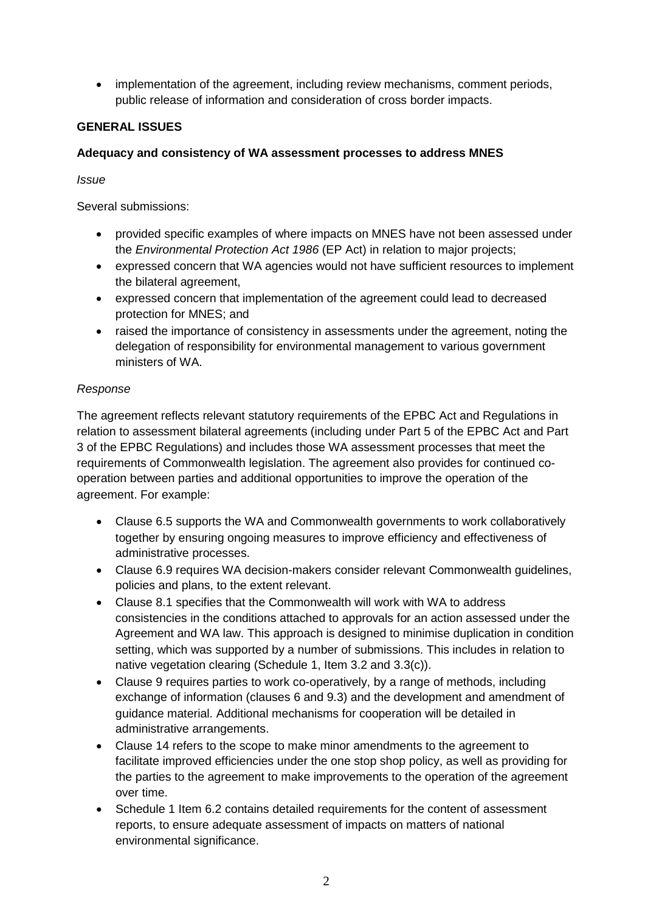• implementation of the agreement, including review mechanisms, comment periods, public release of information and consideration of cross border impacts.

## **GENERAL ISSUES**

## **Adequacy and consistency of WA assessment processes to address MNES**

*Issue*

Several submissions:

- provided specific examples of where impacts on MNES have not been assessed under the *Environmental Protection Act 1986* (EP Act) in relation to major projects;
- expressed concern that WA agencies would not have sufficient resources to implement the bilateral agreement,
- expressed concern that implementation of the agreement could lead to decreased protection for MNES; and
- raised the importance of consistency in assessments under the agreement, noting the delegation of responsibility for environmental management to various government ministers of WA.

# *Response*

The agreement reflects relevant statutory requirements of the EPBC Act and Regulations in relation to assessment bilateral agreements (including under Part 5 of the EPBC Act and Part 3 of the EPBC Regulations) and includes those WA assessment processes that meet the requirements of Commonwealth legislation. The agreement also provides for continued cooperation between parties and additional opportunities to improve the operation of the agreement. For example:

- Clause 6.5 supports the WA and Commonwealth governments to work collaboratively together by ensuring ongoing measures to improve efficiency and effectiveness of administrative processes.
- Clause 6.9 requires WA decision-makers consider relevant Commonwealth guidelines, policies and plans, to the extent relevant.
- Clause 8.1 specifies that the Commonwealth will work with WA to address consistencies in the conditions attached to approvals for an action assessed under the Agreement and WA law. This approach is designed to minimise duplication in condition setting, which was supported by a number of submissions. This includes in relation to native vegetation clearing (Schedule 1, Item 3.2 and 3.3(c)).
- Clause 9 requires parties to work co-operatively, by a range of methods, including exchange of information (clauses 6 and 9.3) and the development and amendment of guidance material. Additional mechanisms for cooperation will be detailed in administrative arrangements.
- Clause 14 refers to the scope to make minor amendments to the agreement to facilitate improved efficiencies under the one stop shop policy, as well as providing for the parties to the agreement to make improvements to the operation of the agreement over time.
- Schedule 1 Item 6.2 contains detailed requirements for the content of assessment reports, to ensure adequate assessment of impacts on matters of national environmental significance.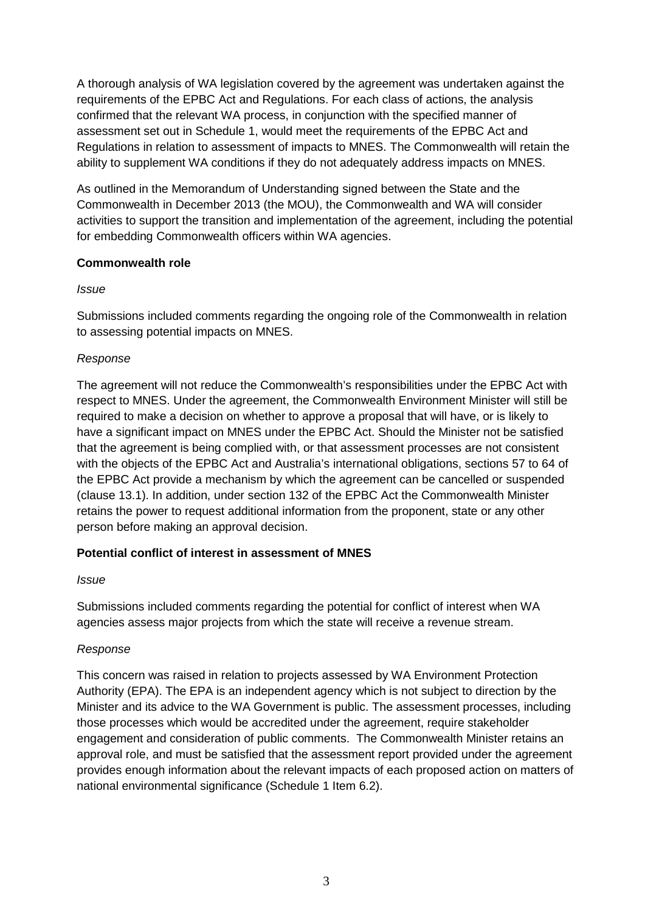A thorough analysis of WA legislation covered by the agreement was undertaken against the requirements of the EPBC Act and Regulations. For each class of actions, the analysis confirmed that the relevant WA process, in conjunction with the specified manner of assessment set out in Schedule 1, would meet the requirements of the EPBC Act and Regulations in relation to assessment of impacts to MNES. The Commonwealth will retain the ability to supplement WA conditions if they do not adequately address impacts on MNES.

As outlined in the Memorandum of Understanding signed between the State and the Commonwealth in December 2013 (the MOU), the Commonwealth and WA will consider activities to support the transition and implementation of the agreement, including the potential for embedding Commonwealth officers within WA agencies.

## **Commonwealth role**

## *Issue*

Submissions included comments regarding the ongoing role of the Commonwealth in relation to assessing potential impacts on MNES.

# *Response*

The agreement will not reduce the Commonwealth's responsibilities under the EPBC Act with respect to MNES. Under the agreement, the Commonwealth Environment Minister will still be required to make a decision on whether to approve a proposal that will have, or is likely to have a significant impact on MNES under the EPBC Act. Should the Minister not be satisfied that the agreement is being complied with, or that assessment processes are not consistent with the objects of the EPBC Act and Australia's international obligations, sections 57 to 64 of the EPBC Act provide a mechanism by which the agreement can be cancelled or suspended (clause 13.1). In addition, under section 132 of the EPBC Act the Commonwealth Minister retains the power to request additional information from the proponent, state or any other person before making an approval decision.

## **Potential conflict of interest in assessment of MNES**

## *Issue*

Submissions included comments regarding the potential for conflict of interest when WA agencies assess major projects from which the state will receive a revenue stream.

# *Response*

This concern was raised in relation to projects assessed by WA Environment Protection Authority (EPA). The EPA is an independent agency which is not subject to direction by the Minister and its advice to the WA Government is public. The assessment processes, including those processes which would be accredited under the agreement, require stakeholder engagement and consideration of public comments. The Commonwealth Minister retains an approval role, and must be satisfied that the assessment report provided under the agreement provides enough information about the relevant impacts of each proposed action on matters of national environmental significance (Schedule 1 Item 6.2).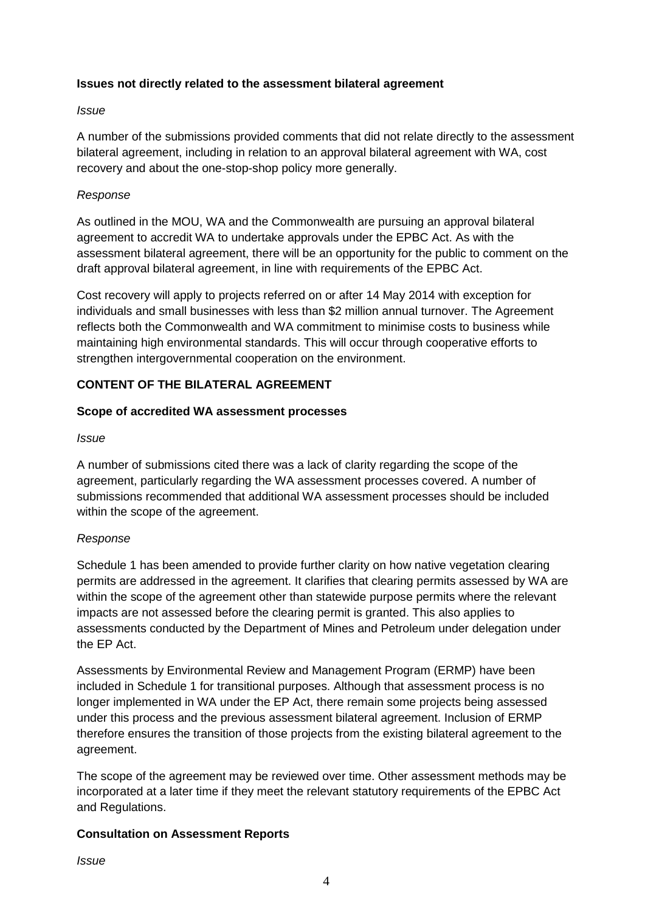#### **Issues not directly related to the assessment bilateral agreement**

#### *Issue*

A number of the submissions provided comments that did not relate directly to the assessment bilateral agreement, including in relation to an approval bilateral agreement with WA, cost recovery and about the one-stop-shop policy more generally.

#### *Response*

As outlined in the MOU, WA and the Commonwealth are pursuing an approval bilateral agreement to accredit WA to undertake approvals under the EPBC Act. As with the assessment bilateral agreement, there will be an opportunity for the public to comment on the draft approval bilateral agreement, in line with requirements of the EPBC Act.

Cost recovery will apply to projects referred on or after 14 May 2014 with exception for individuals and small businesses with less than \$2 million annual turnover. The Agreement reflects both the Commonwealth and WA commitment to minimise costs to business while maintaining high environmental standards. This will occur through cooperative efforts to strengthen intergovernmental cooperation on the environment.

### **CONTENT OF THE BILATERAL AGREEMENT**

#### **Scope of accredited WA assessment processes**

#### *Issue*

A number of submissions cited there was a lack of clarity regarding the scope of the agreement, particularly regarding the WA assessment processes covered. A number of submissions recommended that additional WA assessment processes should be included within the scope of the agreement.

#### *Response*

Schedule 1 has been amended to provide further clarity on how native vegetation clearing permits are addressed in the agreement. It clarifies that clearing permits assessed by WA are within the scope of the agreement other than statewide purpose permits where the relevant impacts are not assessed before the clearing permit is granted. This also applies to assessments conducted by the Department of Mines and Petroleum under delegation under the EP Act.

Assessments by Environmental Review and Management Program (ERMP) have been included in Schedule 1 for transitional purposes. Although that assessment process is no longer implemented in WA under the EP Act, there remain some projects being assessed under this process and the previous assessment bilateral agreement. Inclusion of ERMP therefore ensures the transition of those projects from the existing bilateral agreement to the agreement.

The scope of the agreement may be reviewed over time. Other assessment methods may be incorporated at a later time if they meet the relevant statutory requirements of the EPBC Act and Regulations.

#### **Consultation on Assessment Reports**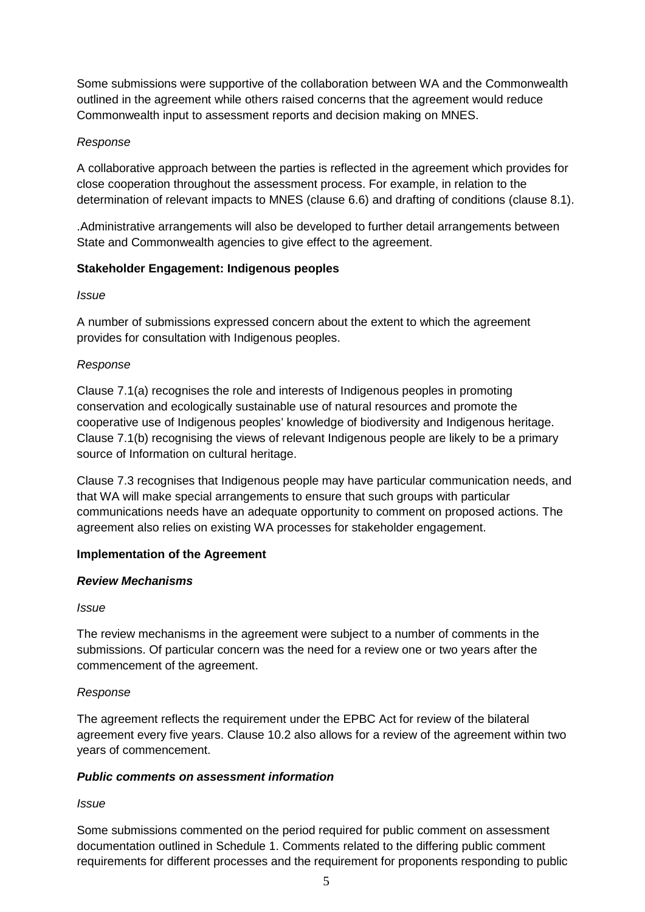Some submissions were supportive of the collaboration between WA and the Commonwealth outlined in the agreement while others raised concerns that the agreement would reduce Commonwealth input to assessment reports and decision making on MNES.

## *Response*

A collaborative approach between the parties is reflected in the agreement which provides for close cooperation throughout the assessment process. For example, in relation to the determination of relevant impacts to MNES (clause 6.6) and drafting of conditions (clause 8.1).

.Administrative arrangements will also be developed to further detail arrangements between State and Commonwealth agencies to give effect to the agreement.

## **Stakeholder Engagement: Indigenous peoples**

#### *Issue*

A number of submissions expressed concern about the extent to which the agreement provides for consultation with Indigenous peoples.

## *Response*

Clause 7.1(a) recognises the role and interests of Indigenous peoples in promoting conservation and ecologically sustainable use of natural resources and promote the cooperative use of Indigenous peoples' knowledge of biodiversity and Indigenous heritage. Clause 7.1(b) recognising the views of relevant Indigenous people are likely to be a primary source of Information on cultural heritage.

Clause 7.3 recognises that Indigenous people may have particular communication needs, and that WA will make special arrangements to ensure that such groups with particular communications needs have an adequate opportunity to comment on proposed actions. The agreement also relies on existing WA processes for stakeholder engagement.

## **Implementation of the Agreement**

#### *Review Mechanisms*

#### *Issue*

The review mechanisms in the agreement were subject to a number of comments in the submissions. Of particular concern was the need for a review one or two years after the commencement of the agreement.

## *Response*

The agreement reflects the requirement under the EPBC Act for review of the bilateral agreement every five years. Clause 10.2 also allows for a review of the agreement within two years of commencement.

## *Public comments on assessment information*

#### *Issue*

Some submissions commented on the period required for public comment on assessment documentation outlined in Schedule 1. Comments related to the differing public comment requirements for different processes and the requirement for proponents responding to public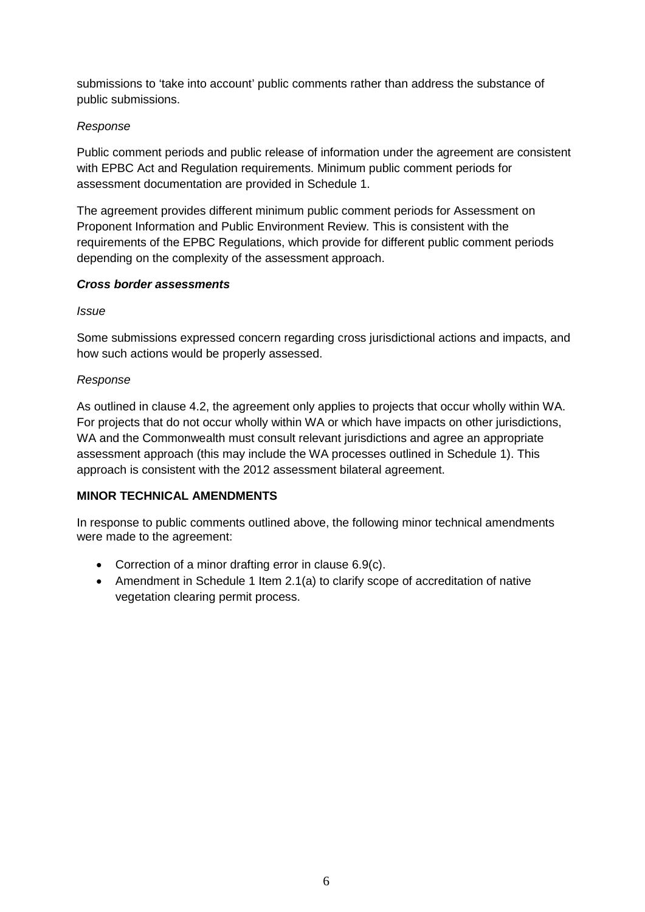submissions to 'take into account' public comments rather than address the substance of public submissions.

## *Response*

Public comment periods and public release of information under the agreement are consistent with EPBC Act and Regulation requirements. Minimum public comment periods for assessment documentation are provided in Schedule 1.

The agreement provides different minimum public comment periods for Assessment on Proponent Information and Public Environment Review. This is consistent with the requirements of the EPBC Regulations, which provide for different public comment periods depending on the complexity of the assessment approach.

## *Cross border assessments*

*Issue*

Some submissions expressed concern regarding cross jurisdictional actions and impacts, and how such actions would be properly assessed.

### *Response*

As outlined in clause 4.2, the agreement only applies to projects that occur wholly within WA. For projects that do not occur wholly within WA or which have impacts on other jurisdictions, WA and the Commonwealth must consult relevant jurisdictions and agree an appropriate assessment approach (this may include the WA processes outlined in Schedule 1). This approach is consistent with the 2012 assessment bilateral agreement.

## **MINOR TECHNICAL AMENDMENTS**

In response to public comments outlined above, the following minor technical amendments were made to the agreement:

- Correction of a minor drafting error in clause 6.9(c).
- Amendment in Schedule 1 Item 2.1(a) to clarify scope of accreditation of native vegetation clearing permit process.